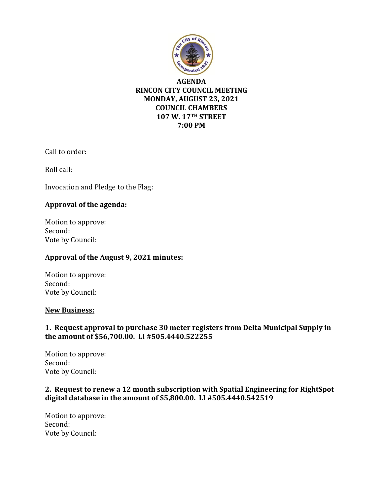

### **AGENDA RINCON CITY COUNCIL MEETING MONDAY, AUGUST 23, 2021 COUNCIL CHAMBERS 107 W. 17TH STREET 7:00 PM**

Call to order:

Roll call:

Invocation and Pledge to the Flag:

### **Approval of the agenda:**

Motion to approve: Second: Vote by Council:

### **Approval of the August 9, 2021 minutes:**

Motion to approve: Second: Vote by Council:

#### **New Business:**

## **1. Request approval to purchase 30 meter registers from Delta Municipal Supply in the amount of \$56,700.00. LI #505.4440.522255**

Motion to approve: Second: Vote by Council:

### **2. Request to renew a 12 month subscription with Spatial Engineering for RightSpot digital database in the amount of \$5,800.00. LI #505.4440.542519**

Motion to approve: Second: Vote by Council: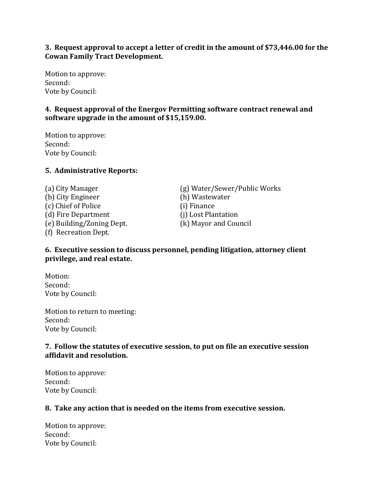### **3. Request approval to accept a letter of credit in the amount of \$73,446.00 for the Cowan Family Tract Development.**

Motion to approve: Second: Vote by Council:

## **4. Request approval of the Energov Permitting software contract renewal and software upgrade in the amount of \$15,159.00.**

Motion to approve: Second: Vote by Council:

### **5. Administrative Reports:**

(b) City Engineer (h) Wastewater (c) Chief of Police (i) Finance (d) Fire Department (j) Lost Plantation (e) Building/Zoning Dept. (k) Mayor and Council (f) Recreation Dept.

(a) City Manager (g) Water/Sewer/Public Works

### **6. Executive session to discuss personnel, pending litigation, attorney client privilege, and real estate.**

Motion: Second: Vote by Council:

Motion to return to meeting: Second: Vote by Council:

### **7. Follow the statutes of executive session, to put on file an executive session affidavit and resolution.**

Motion to approve: Second: Vote by Council:

#### **8. Take any action that is needed on the items from executive session.**

Motion to approve: Second: Vote by Council: